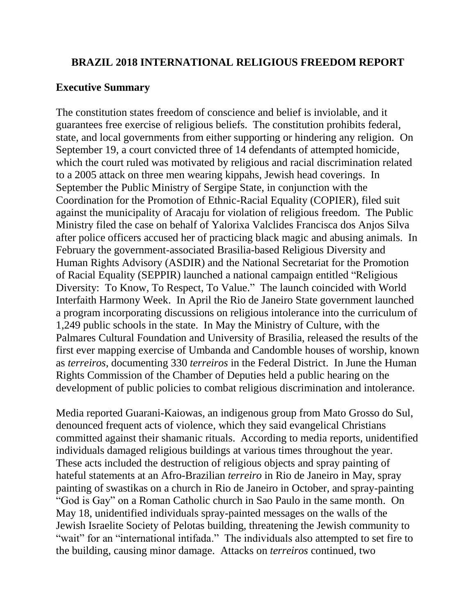### **BRAZIL 2018 INTERNATIONAL RELIGIOUS FREEDOM REPORT**

#### **Executive Summary**

The constitution states freedom of conscience and belief is inviolable, and it guarantees free exercise of religious beliefs. The constitution prohibits federal, state, and local governments from either supporting or hindering any religion. On September 19, a court convicted three of 14 defendants of attempted homicide, which the court ruled was motivated by religious and racial discrimination related to a 2005 attack on three men wearing kippahs, Jewish head coverings. In September the Public Ministry of Sergipe State, in conjunction with the Coordination for the Promotion of Ethnic-Racial Equality (COPIER), filed suit against the municipality of Aracaju for violation of religious freedom. The Public Ministry filed the case on behalf of Yalorixa Valclides Francisca dos Anjos Silva after police officers accused her of practicing black magic and abusing animals. In February the government-associated Brasilia-based Religious Diversity and Human Rights Advisory (ASDIR) and the National Secretariat for the Promotion of Racial Equality (SEPPIR) launched a national campaign entitled "Religious Diversity: To Know, To Respect, To Value." The launch coincided with World Interfaith Harmony Week. In April the Rio de Janeiro State government launched a program incorporating discussions on religious intolerance into the curriculum of 1,249 public schools in the state. In May the Ministry of Culture, with the Palmares Cultural Foundation and University of Brasilia, released the results of the first ever mapping exercise of Umbanda and Candomble houses of worship, known as *terreiros*, documenting 330 *terreiros* in the Federal District. In June the Human Rights Commission of the Chamber of Deputies held a public hearing on the development of public policies to combat religious discrimination and intolerance.

Media reported Guarani-Kaiowas, an indigenous group from Mato Grosso do Sul, denounced frequent acts of violence, which they said evangelical Christians committed against their shamanic rituals. According to media reports, unidentified individuals damaged religious buildings at various times throughout the year. These acts included the destruction of religious objects and spray painting of hateful statements at an Afro-Brazilian *terreiro* in Rio de Janeiro in May, spray painting of swastikas on a church in Rio de Janeiro in October, and spray-painting "God is Gay" on a Roman Catholic church in Sao Paulo in the same month. On May 18, unidentified individuals spray-painted messages on the walls of the Jewish Israelite Society of Pelotas building, threatening the Jewish community to "wait" for an "international intifada." The individuals also attempted to set fire to the building, causing minor damage. Attacks on *terreiros* continued, two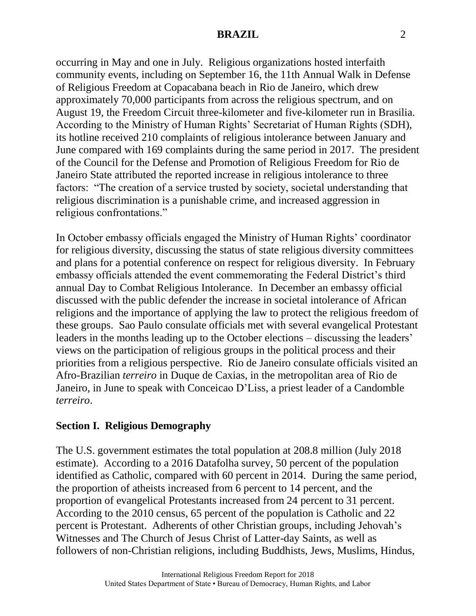occurring in May and one in July. Religious organizations hosted interfaith community events, including on September 16, the 11th Annual Walk in Defense of Religious Freedom at Copacabana beach in Rio de Janeiro, which drew approximately 70,000 participants from across the religious spectrum, and on August 19, the Freedom Circuit three-kilometer and five-kilometer run in Brasilia. According to the Ministry of Human Rights' Secretariat of Human Rights (SDH), its hotline received 210 complaints of religious intolerance between January and June compared with 169 complaints during the same period in 2017. The president of the Council for the Defense and Promotion of Religious Freedom for Rio de Janeiro State attributed the reported increase in religious intolerance to three factors: "The creation of a service trusted by society, societal understanding that religious discrimination is a punishable crime, and increased aggression in religious confrontations."

In October embassy officials engaged the Ministry of Human Rights' coordinator for religious diversity, discussing the status of state religious diversity committees and plans for a potential conference on respect for religious diversity. In February embassy officials attended the event commemorating the Federal District's third annual Day to Combat Religious Intolerance. In December an embassy official discussed with the public defender the increase in societal intolerance of African religions and the importance of applying the law to protect the religious freedom of these groups. Sao Paulo consulate officials met with several evangelical Protestant leaders in the months leading up to the October elections – discussing the leaders' views on the participation of religious groups in the political process and their priorities from a religious perspective. Rio de Janeiro consulate officials visited an Afro-Brazilian *terreiro* in Duque de Caxias, in the metropolitan area of Rio de Janeiro, in June to speak with Conceicao D'Liss, a priest leader of a Candomble *terreiro*.

## **Section I. Religious Demography**

The U.S. government estimates the total population at 208.8 million (July 2018 estimate). According to a 2016 Datafolha survey, 50 percent of the population identified as Catholic, compared with 60 percent in 2014. During the same period, the proportion of atheists increased from 6 percent to 14 percent, and the proportion of evangelical Protestants increased from 24 percent to 31 percent. According to the 2010 census, 65 percent of the population is Catholic and 22 percent is Protestant. Adherents of other Christian groups, including Jehovah's Witnesses and The Church of Jesus Christ of Latter-day Saints, as well as followers of non-Christian religions, including Buddhists, Jews, Muslims, Hindus,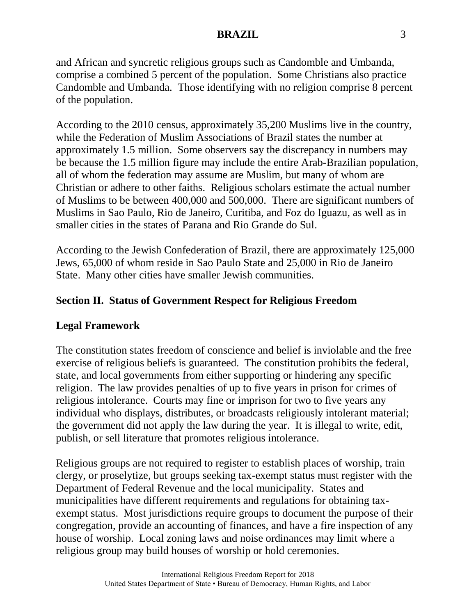and African and syncretic religious groups such as Candomble and Umbanda, comprise a combined 5 percent of the population. Some Christians also practice Candomble and Umbanda. Those identifying with no religion comprise 8 percent of the population.

According to the 2010 census, approximately 35,200 Muslims live in the country, while the Federation of Muslim Associations of Brazil states the number at approximately 1.5 million. Some observers say the discrepancy in numbers may be because the 1.5 million figure may include the entire Arab-Brazilian population, all of whom the federation may assume are Muslim, but many of whom are Christian or adhere to other faiths. Religious scholars estimate the actual number of Muslims to be between 400,000 and 500,000. There are significant numbers of Muslims in Sao Paulo, Rio de Janeiro, Curitiba, and Foz do Iguazu, as well as in smaller cities in the states of Parana and Rio Grande do Sul.

According to the Jewish Confederation of Brazil, there are approximately 125,000 Jews, 65,000 of whom reside in Sao Paulo State and 25,000 in Rio de Janeiro State. Many other cities have smaller Jewish communities.

## **Section II. Status of Government Respect for Religious Freedom**

## **Legal Framework**

The constitution states freedom of conscience and belief is inviolable and the free exercise of religious beliefs is guaranteed. The constitution prohibits the federal, state, and local governments from either supporting or hindering any specific religion. The law provides penalties of up to five years in prison for crimes of religious intolerance. Courts may fine or imprison for two to five years any individual who displays, distributes, or broadcasts religiously intolerant material; the government did not apply the law during the year. It is illegal to write, edit, publish, or sell literature that promotes religious intolerance.

Religious groups are not required to register to establish places of worship, train clergy, or proselytize, but groups seeking tax-exempt status must register with the Department of Federal Revenue and the local municipality. States and municipalities have different requirements and regulations for obtaining taxexempt status. Most jurisdictions require groups to document the purpose of their congregation, provide an accounting of finances, and have a fire inspection of any house of worship. Local zoning laws and noise ordinances may limit where a religious group may build houses of worship or hold ceremonies.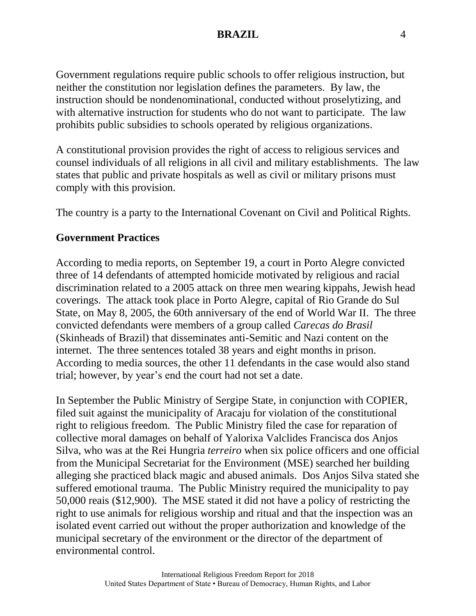Government regulations require public schools to offer religious instruction, but neither the constitution nor legislation defines the parameters. By law, the instruction should be nondenominational, conducted without proselytizing, and with alternative instruction for students who do not want to participate. The law prohibits public subsidies to schools operated by religious organizations.

A constitutional provision provides the right of access to religious services and counsel individuals of all religions in all civil and military establishments. The law states that public and private hospitals as well as civil or military prisons must comply with this provision.

The country is a party to the International Covenant on Civil and Political Rights.

# **Government Practices**

According to media reports, on September 19, a court in Porto Alegre convicted three of 14 defendants of attempted homicide motivated by religious and racial discrimination related to a 2005 attack on three men wearing kippahs, Jewish head coverings. The attack took place in Porto Alegre, capital of Rio Grande do Sul State, on May 8, 2005, the 60th anniversary of the end of World War II. The three convicted defendants were members of a group called *Carecas do Brasil*  (Skinheads of Brazil) that disseminates anti-Semitic and Nazi content on the internet. The three sentences totaled 38 years and eight months in prison. According to media sources, the other 11 defendants in the case would also stand trial; however, by year's end the court had not set a date.

In September the Public Ministry of Sergipe State, in conjunction with COPIER, filed suit against the municipality of Aracaju for violation of the constitutional right to religious freedom. The Public Ministry filed the case for reparation of collective moral damages on behalf of Yalorixa Valclides Francisca dos Anjos Silva, who was at the Rei Hungria *terreiro* when six police officers and one official from the Municipal Secretariat for the Environment (MSE) searched her building alleging she practiced black magic and abused animals. Dos Anjos Silva stated she suffered emotional trauma. The Public Ministry required the municipality to pay 50,000 reais (\$12,900). The MSE stated it did not have a policy of restricting the right to use animals for religious worship and ritual and that the inspection was an isolated event carried out without the proper authorization and knowledge of the municipal secretary of the environment or the director of the department of environmental control.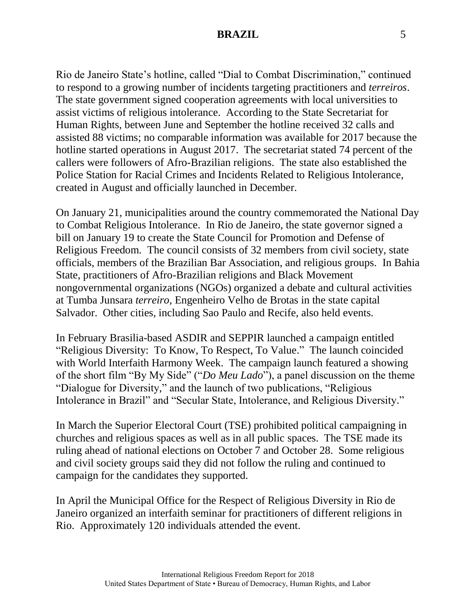Rio de Janeiro State's hotline, called "Dial to Combat Discrimination," continued to respond to a growing number of incidents targeting practitioners and *terreiros*. The state government signed cooperation agreements with local universities to assist victims of religious intolerance. According to the State Secretariat for Human Rights, between June and September the hotline received 32 calls and assisted 88 victims; no comparable information was available for 2017 because the hotline started operations in August 2017. The secretariat stated 74 percent of the callers were followers of Afro-Brazilian religions. The state also established the Police Station for Racial Crimes and Incidents Related to Religious Intolerance, created in August and officially launched in December.

On January 21, municipalities around the country commemorated the National Day to Combat Religious Intolerance. In Rio de Janeiro, the state governor signed a bill on January 19 to create the State Council for Promotion and Defense of Religious Freedom. The council consists of 32 members from civil society, state officials, members of the Brazilian Bar Association, and religious groups. In Bahia State, practitioners of Afro-Brazilian religions and Black Movement nongovernmental organizations (NGOs) organized a debate and cultural activities at Tumba Junsara *terreiro*, Engenheiro Velho de Brotas in the state capital Salvador. Other cities, including Sao Paulo and Recife, also held events.

In February Brasilia-based ASDIR and SEPPIR launched a campaign entitled "Religious Diversity: To Know, To Respect, To Value." The launch coincided with World Interfaith Harmony Week. The campaign launch featured a showing of the short film "By My Side" ("*Do Meu Lado*"), a panel discussion on the theme "Dialogue for Diversity," and the launch of two publications, "Religious Intolerance in Brazil" and "Secular State, Intolerance, and Religious Diversity."

In March the Superior Electoral Court (TSE) prohibited political campaigning in churches and religious spaces as well as in all public spaces. The TSE made its ruling ahead of national elections on October 7 and October 28. Some religious and civil society groups said they did not follow the ruling and continued to campaign for the candidates they supported.

In April the Municipal Office for the Respect of Religious Diversity in Rio de Janeiro organized an interfaith seminar for practitioners of different religions in Rio. Approximately 120 individuals attended the event.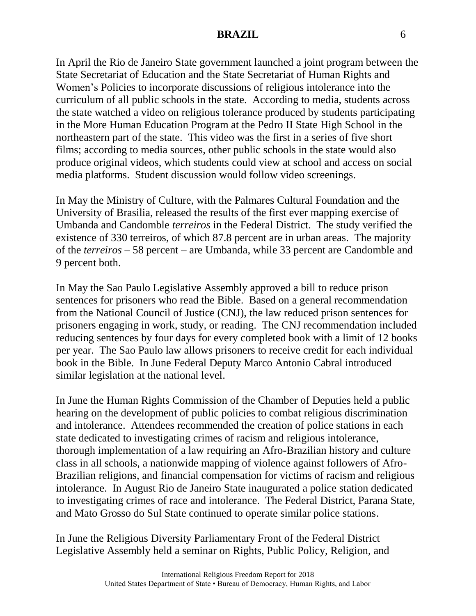In April the Rio de Janeiro State government launched a joint program between the State Secretariat of Education and the State Secretariat of Human Rights and Women's Policies to incorporate discussions of religious intolerance into the curriculum of all public schools in the state. According to media, students across the state watched a video on religious tolerance produced by students participating in the More Human Education Program at the Pedro II State High School in the northeastern part of the state. This video was the first in a series of five short films; according to media sources, other public schools in the state would also produce original videos, which students could view at school and access on social media platforms. Student discussion would follow video screenings.

In May the Ministry of Culture, with the Palmares Cultural Foundation and the University of Brasilia, released the results of the first ever mapping exercise of Umbanda and Candomble *terreiros* in the Federal District. The study verified the existence of 330 terreiros, of which 87.8 percent are in urban areas. The majority of the *terreiros* – 58 percent – are Umbanda, while 33 percent are Candomble and 9 percent both.

In May the Sao Paulo Legislative Assembly approved a bill to reduce prison sentences for prisoners who read the Bible. Based on a general recommendation from the National Council of Justice (CNJ), the law reduced prison sentences for prisoners engaging in work, study, or reading. The CNJ recommendation included reducing sentences by four days for every completed book with a limit of 12 books per year. The Sao Paulo law allows prisoners to receive credit for each individual book in the Bible. In June Federal Deputy Marco Antonio Cabral introduced similar legislation at the national level.

In June the Human Rights Commission of the Chamber of Deputies held a public hearing on the development of public policies to combat religious discrimination and intolerance. Attendees recommended the creation of police stations in each state dedicated to investigating crimes of racism and religious intolerance, thorough implementation of a law requiring an Afro-Brazilian history and culture class in all schools, a nationwide mapping of violence against followers of Afro-Brazilian religions, and financial compensation for victims of racism and religious intolerance. In August Rio de Janeiro State inaugurated a police station dedicated to investigating crimes of race and intolerance. The Federal District, Parana State, and Mato Grosso do Sul State continued to operate similar police stations.

In June the Religious Diversity Parliamentary Front of the Federal District Legislative Assembly held a seminar on Rights, Public Policy, Religion, and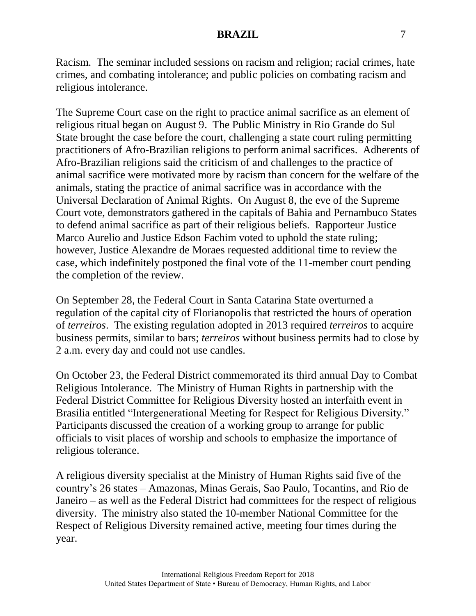Racism. The seminar included sessions on racism and religion; racial crimes, hate crimes, and combating intolerance; and public policies on combating racism and religious intolerance.

The Supreme Court case on the right to practice animal sacrifice as an element of religious ritual began on August 9. The Public Ministry in Rio Grande do Sul State brought the case before the court, challenging a state court ruling permitting practitioners of Afro-Brazilian religions to perform animal sacrifices. Adherents of Afro-Brazilian religions said the criticism of and challenges to the practice of animal sacrifice were motivated more by racism than concern for the welfare of the animals, stating the practice of animal sacrifice was in accordance with the Universal Declaration of Animal Rights. On August 8, the eve of the Supreme Court vote, demonstrators gathered in the capitals of Bahia and Pernambuco States to defend animal sacrifice as part of their religious beliefs. Rapporteur Justice Marco Aurelio and Justice Edson Fachim voted to uphold the state ruling; however, Justice Alexandre de Moraes requested additional time to review the case, which indefinitely postponed the final vote of the 11-member court pending the completion of the review.

On September 28, the Federal Court in Santa Catarina State overturned a regulation of the capital city of Florianopolis that restricted the hours of operation of *terreiros*. The existing regulation adopted in 2013 required *terreiros* to acquire business permits, similar to bars; *terreiros* without business permits had to close by 2 a.m. every day and could not use candles.

On October 23, the Federal District commemorated its third annual Day to Combat Religious Intolerance. The Ministry of Human Rights in partnership with the Federal District Committee for Religious Diversity hosted an interfaith event in Brasilia entitled "Intergenerational Meeting for Respect for Religious Diversity." Participants discussed the creation of a working group to arrange for public officials to visit places of worship and schools to emphasize the importance of religious tolerance.

A religious diversity specialist at the Ministry of Human Rights said five of the country's 26 states – Amazonas, Minas Gerais, Sao Paulo, Tocantins, and Rio de Janeiro – as well as the Federal District had committees for the respect of religious diversity. The ministry also stated the 10-member National Committee for the Respect of Religious Diversity remained active, meeting four times during the year.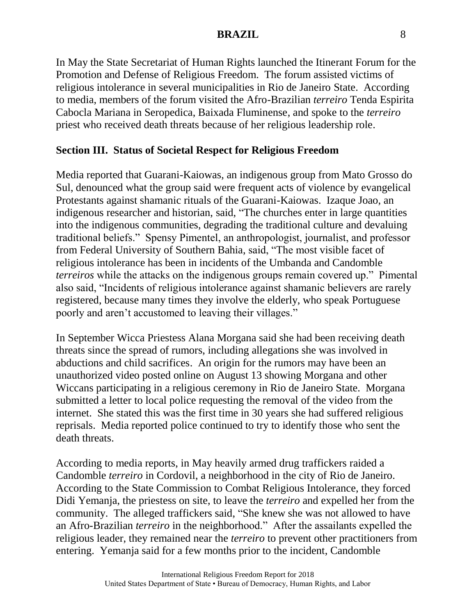In May the State Secretariat of Human Rights launched the Itinerant Forum for the Promotion and Defense of Religious Freedom. The forum assisted victims of religious intolerance in several municipalities in Rio de Janeiro State. According to media, members of the forum visited the Afro-Brazilian *terreiro* Tenda Espirita Cabocla Mariana in Seropedica, Baixada Fluminense, and spoke to the *terreiro* priest who received death threats because of her religious leadership role.

## **Section III. Status of Societal Respect for Religious Freedom**

Media reported that Guarani-Kaiowas, an indigenous group from Mato Grosso do Sul, denounced what the group said were frequent acts of violence by evangelical Protestants against shamanic rituals of the Guarani-Kaiowas. Izaque Joao, an indigenous researcher and historian, said, "The churches enter in large quantities into the indigenous communities, degrading the traditional culture and devaluing traditional beliefs." Spensy Pimentel, an anthropologist, journalist, and professor from Federal University of Southern Bahia, said, "The most visible facet of religious intolerance has been in incidents of the Umbanda and Candomble *terreiros* while the attacks on the indigenous groups remain covered up." Pimental also said, "Incidents of religious intolerance against shamanic believers are rarely registered, because many times they involve the elderly, who speak Portuguese poorly and aren't accustomed to leaving their villages."

In September Wicca Priestess Alana Morgana said she had been receiving death threats since the spread of rumors, including allegations she was involved in abductions and child sacrifices. An origin for the rumors may have been an unauthorized video posted online on August 13 showing Morgana and other Wiccans participating in a religious ceremony in Rio de Janeiro State. Morgana submitted a letter to local police requesting the removal of the video from the internet. She stated this was the first time in 30 years she had suffered religious reprisals. Media reported police continued to try to identify those who sent the death threats.

According to media reports, in May heavily armed drug traffickers raided a Candomble *terreiro* in Cordovil, a neighborhood in the city of Rio de Janeiro. According to the State Commission to Combat Religious Intolerance, they forced Didi Yemanja, the priestess on site, to leave the *terreiro* and expelled her from the community. The alleged traffickers said, "She knew she was not allowed to have an Afro-Brazilian *terreiro* in the neighborhood." After the assailants expelled the religious leader, they remained near the *terreiro* to prevent other practitioners from entering. Yemanja said for a few months prior to the incident, Candomble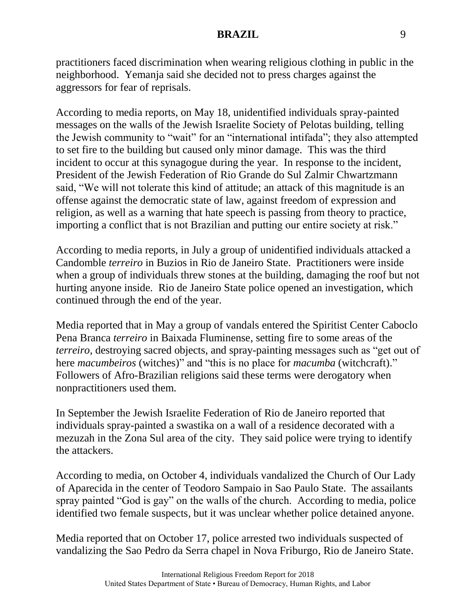practitioners faced discrimination when wearing religious clothing in public in the neighborhood. Yemanja said she decided not to press charges against the aggressors for fear of reprisals.

According to media reports, on May 18, unidentified individuals spray-painted messages on the walls of the Jewish Israelite Society of Pelotas building, telling the Jewish community to "wait" for an "international intifada"; they also attempted to set fire to the building but caused only minor damage. This was the third incident to occur at this synagogue during the year. In response to the incident, President of the Jewish Federation of Rio Grande do Sul Zalmir Chwartzmann said, "We will not tolerate this kind of attitude; an attack of this magnitude is an offense against the democratic state of law, against freedom of expression and religion, as well as a warning that hate speech is passing from theory to practice, importing a conflict that is not Brazilian and putting our entire society at risk."

According to media reports, in July a group of unidentified individuals attacked a Candomble *terreiro* in Buzios in Rio de Janeiro State. Practitioners were inside when a group of individuals threw stones at the building, damaging the roof but not hurting anyone inside. Rio de Janeiro State police opened an investigation, which continued through the end of the year.

Media reported that in May a group of vandals entered the Spiritist Center Caboclo Pena Branca *terreiro* in Baixada Fluminense, setting fire to some areas of the *terreiro*, destroying sacred objects, and spray-painting messages such as "get out of here *macumbeiros* (witches)" and "this is no place for *macumba* (witchcraft)." Followers of Afro-Brazilian religions said these terms were derogatory when nonpractitioners used them.

In September the Jewish Israelite Federation of Rio de Janeiro reported that individuals spray-painted a swastika on a wall of a residence decorated with a mezuzah in the Zona Sul area of the city. They said police were trying to identify the attackers.

According to media, on October 4, individuals vandalized the Church of Our Lady of Aparecida in the center of Teodoro Sampaio in Sao Paulo State. The assailants spray painted "God is gay" on the walls of the church. According to media, police identified two female suspects, but it was unclear whether police detained anyone.

Media reported that on October 17, police arrested two individuals suspected of vandalizing the Sao Pedro da Serra chapel in Nova Friburgo, Rio de Janeiro State.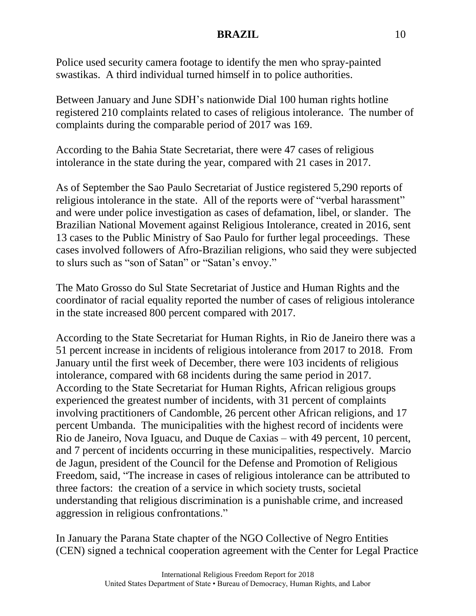Police used security camera footage to identify the men who spray-painted swastikas. A third individual turned himself in to police authorities.

Between January and June SDH's nationwide Dial 100 human rights hotline registered 210 complaints related to cases of religious intolerance. The number of complaints during the comparable period of 2017 was 169.

According to the Bahia State Secretariat, there were 47 cases of religious intolerance in the state during the year, compared with 21 cases in 2017.

As of September the Sao Paulo Secretariat of Justice registered 5,290 reports of religious intolerance in the state. All of the reports were of "verbal harassment" and were under police investigation as cases of defamation, libel, or slander. The Brazilian National Movement against Religious Intolerance, created in 2016, sent 13 cases to the Public Ministry of Sao Paulo for further legal proceedings. These cases involved followers of Afro-Brazilian religions, who said they were subjected to slurs such as "son of Satan" or "Satan's envoy."

The Mato Grosso do Sul State Secretariat of Justice and Human Rights and the coordinator of racial equality reported the number of cases of religious intolerance in the state increased 800 percent compared with 2017.

According to the State Secretariat for Human Rights, in Rio de Janeiro there was a 51 percent increase in incidents of religious intolerance from 2017 to 2018. From January until the first week of December, there were 103 incidents of religious intolerance, compared with 68 incidents during the same period in 2017. According to the State Secretariat for Human Rights, African religious groups experienced the greatest number of incidents, with 31 percent of complaints involving practitioners of Candomble, 26 percent other African religions, and 17 percent Umbanda. The municipalities with the highest record of incidents were Rio de Janeiro, Nova Iguacu, and Duque de Caxias – with 49 percent, 10 percent, and 7 percent of incidents occurring in these municipalities, respectively. Marcio de Jagun, president of the Council for the Defense and Promotion of Religious Freedom, said, "The increase in cases of religious intolerance can be attributed to three factors: the creation of a service in which society trusts, societal understanding that religious discrimination is a punishable crime, and increased aggression in religious confrontations."

In January the Parana State chapter of the NGO Collective of Negro Entities (CEN) signed a technical cooperation agreement with the Center for Legal Practice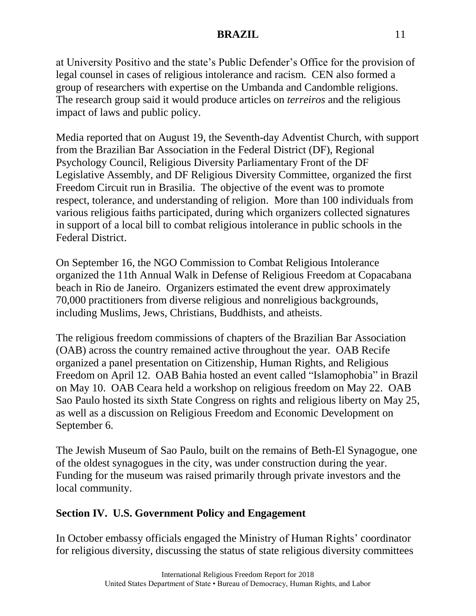at University Positivo and the state's Public Defender's Office for the provision of legal counsel in cases of religious intolerance and racism. CEN also formed a group of researchers with expertise on the Umbanda and Candomble religions. The research group said it would produce articles on *terreiros* and the religious impact of laws and public policy.

Media reported that on August 19, the Seventh-day Adventist Church, with support from the Brazilian Bar Association in the Federal District (DF), Regional Psychology Council, Religious Diversity Parliamentary Front of the DF Legislative Assembly, and DF Religious Diversity Committee, organized the first Freedom Circuit run in Brasilia. The objective of the event was to promote respect, tolerance, and understanding of religion. More than 100 individuals from various religious faiths participated, during which organizers collected signatures in support of a local bill to combat religious intolerance in public schools in the Federal District.

On September 16, the NGO Commission to Combat Religious Intolerance organized the 11th Annual Walk in Defense of Religious Freedom at Copacabana beach in Rio de Janeiro. Organizers estimated the event drew approximately 70,000 practitioners from diverse religious and nonreligious backgrounds, including Muslims, Jews, Christians, Buddhists, and atheists.

The religious freedom commissions of chapters of the Brazilian Bar Association (OAB) across the country remained active throughout the year. OAB Recife organized a panel presentation on Citizenship, Human Rights, and Religious Freedom on April 12. OAB Bahia hosted an event called "Islamophobia" in Brazil on May 10. OAB Ceara held a workshop on religious freedom on May 22. OAB Sao Paulo hosted its sixth State Congress on rights and religious liberty on May 25, as well as a discussion on Religious Freedom and Economic Development on September 6.

The Jewish Museum of Sao Paulo, built on the remains of Beth-El Synagogue, one of the oldest synagogues in the city, was under construction during the year. Funding for the museum was raised primarily through private investors and the local community.

## **Section IV. U.S. Government Policy and Engagement**

In October embassy officials engaged the Ministry of Human Rights' coordinator for religious diversity, discussing the status of state religious diversity committees